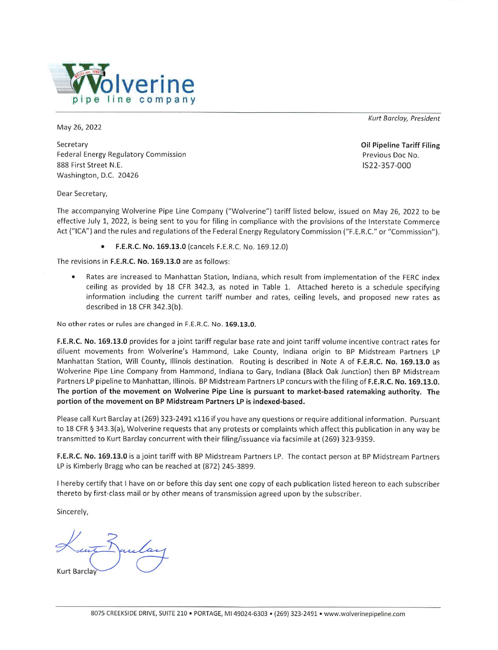

May 26, 2022

Secretary **Federal Energy Regulatory Commission** 888 First Street N.E. Washington, D.C. 20426

Kurt Barclay, President

**Oil Pipeline Tariff Filing** Previous Doc No. IS22-357-000

Dear Secretary,

The accompanying Wolverine Pipe Line Company ("Wolverine") tariff listed below, issued on May 26, 2022 to be effective July 1, 2022, is being sent to you for filing in compliance with the provisions of the Interstate Commerce Act ("ICA") and the rules and regulations of the Federal Energy Regulatory Commission ("F.E.R.C." or "Commission").

• F.E.R.C. No. 169.13.0 (cancels F.E.R.C. No. 169.12.0)

The revisions in F.E.R.C. No. 169.13.0 are as follows:

Rates are increased to Manhattan Station, Indiana, which result from implementation of the FERC index ceiling as provided by 18 CFR 342.3, as noted in Table 1. Attached hereto is a schedule specifying information including the current tariff number and rates, ceiling levels, and proposed new rates as described in 18 CFR 342.3(b).

No other rates or rules are changed in F.E.R.C. No. 169.13.0.

F.E.R.C. No. 169.13.0 provides for a joint tariff regular base rate and joint tariff volume incentive contract rates for diluent movements from Wolverine's Hammond, Lake County, Indiana origin to BP Midstream Partners LP Manhattan Station, Will County, Illinois destination. Routing is described in Note A of F.E.R.C. No. 169.13.0 as Wolverine Pipe Line Company from Hammond, Indiana to Gary, Indiana (Black Oak Junction) then BP Midstream Partners LP pipeline to Manhattan, Illinois. BP Midstream Partners LP concurs with the filing of F.E.R.C. No. 169.13.0. The portion of the movement on Wolverine Pipe Line is pursuant to market-based ratemaking authority. The portion of the movement on BP Midstream Partners LP is indexed-based.

Please call Kurt Barclay at (269) 323-2491 x116 if you have any questions or require additional information. Pursuant to 18 CFR § 343.3(a), Wolverine requests that any protests or complaints which affect this publication in any way be transmitted to Kurt Barclay concurrent with their filing/issuance via facsimile at (269) 323-9359.

F.E.R.C. No. 169.13.0 is a joint tariff with BP Midstream Partners LP. The contact person at BP Midstream Partners LP is Kimberly Bragg who can be reached at (872) 245-3899.

I hereby certify that I have on or before this day sent one copy of each publication listed hereon to each subscriber thereto by first-class mail or by other means of transmission agreed upon by the subscriber.

Sincerely,

Juntar

**Kurt Barcla**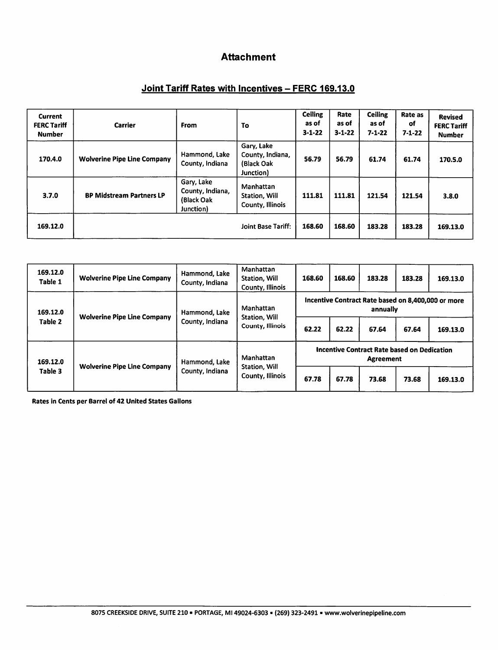# **Attachment**

# Joint Tariff Rates with Incentives - FERC 169.13.0

| <b>Current</b><br><b>FERC Tariff</b><br><b>Number</b> | <b>Carrier</b>                     | From                                                       | To                                                        | <b>Ceiling</b><br>as of<br>$3 - 1 - 22$ | Rate<br>as of<br>$3 - 1 - 22$ | <b>Ceiling</b><br>as of<br>$7 - 1 - 22$ | Rate as<br>оf<br>$7 - 1 - 22$ | <b>Revised</b><br><b>FERC Tariff</b><br><b>Number</b> |
|-------------------------------------------------------|------------------------------------|------------------------------------------------------------|-----------------------------------------------------------|-----------------------------------------|-------------------------------|-----------------------------------------|-------------------------------|-------------------------------------------------------|
| 170.4.0                                               | <b>Wolverine Pipe Line Company</b> | Hammond, Lake<br>County, Indiana                           | Gary, Lake<br>County, Indiana,<br>(Black Oak<br>Junction) | 56.79                                   | 56.79                         | 61.74                                   | 61.74                         | 170.5.0                                               |
| 3.7.0                                                 | <b>BP Midstream Partners LP</b>    | Gary, Lake<br>County, Indiana,<br>(Black Oak)<br>Junction) | Manhattan<br>Station, Will<br>County, Illinois            | 111.81                                  | 111.81                        | 121.54                                  | 121.54                        | 3.8.0                                                 |
| 169.12.0                                              |                                    |                                                            | <b>Joint Base Tariff:</b>                                 | 168.60                                  | 168.60                        | 183.28                                  | 183.28                        | 169.13.0                                              |

| 169.12.0<br>Table 1 | <b>Wolverine Pipe Line Company</b> | Hammond, Lake<br>County, Indiana | Manhattan<br><b>Station, Will</b><br>County, Illinois | 168.60                                                                 | 168.60 | 183.28 | 183.28 | 169.13.0 |
|---------------------|------------------------------------|----------------------------------|-------------------------------------------------------|------------------------------------------------------------------------|--------|--------|--------|----------|
| 169.12.0<br>Table 2 | <b>Wolverine Pipe Line Company</b> | Hammond, Lake<br>County, Indiana | Manhattan<br>Station, Will<br>County, Illinois        | Incentive Contract Rate based on 8,400,000 or more<br>annually         |        |        |        |          |
|                     |                                    |                                  |                                                       | 62.22                                                                  | 62.22  | 67.64  | 67.64  | 169.13.0 |
| 169.12.0<br>Table 3 | <b>Wolverine Pipe Line Company</b> | Hammond, Lake<br>County, Indiana | Manhattan<br>Station, Will<br>County, Illinois        | <b>Incentive Contract Rate based on Dedication</b><br><b>Agreement</b> |        |        |        |          |
|                     |                                    |                                  |                                                       | 67.78                                                                  | 67.78  | 73.68  | 73.68  | 169.13.0 |

Rates in Cents per Barrel of 42 United States Gallons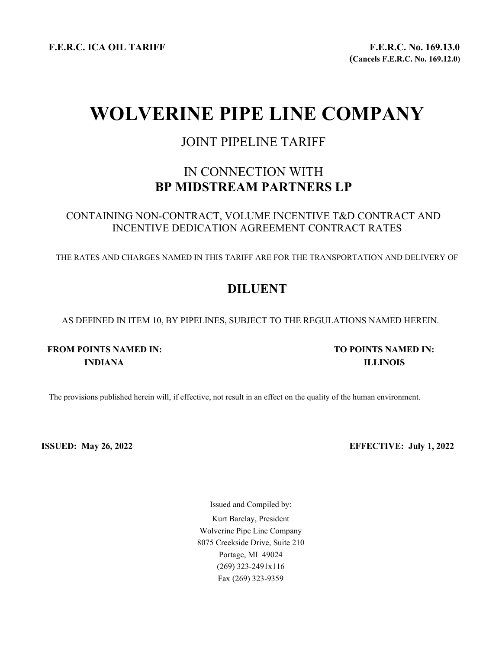F.E.R.C. ICA OIL TARIFF F.E.R.C. No. 169.13.0

# WOLVERINE PIPE LINE COMPANY

# JOINT PIPELINE TARIFF

# IN CONNECTION WITH BP MIDSTREAM PARTNERS LP

CONTAINING NON-CONTRACT, VOLUME INCENTIVE T&D CONTRACT AND INCENTIVE DEDICATION AGREEMENT CONTRACT RATES

THE RATES AND CHARGES NAMED IN THIS TARIFF ARE FOR THE TRANSPORTATION AND DELIVERY OF

# DILUENT

AS DEFINED IN ITEM 10, BY PIPELINES, SUBJECT TO THE REGULATIONS NAMED HEREIN.

# FROM POINTS NAMED IN: TO POINTS NAMED IN: INDIANA ILLINOIS

The provisions published herein will, if effective, not result in an effect on the quality of the human environment.

ISSUED: May 26, 2022 EFFECTIVE: July 1, 2022

Issued and Compiled by: Kurt Barclay, President Wolverine Pipe Line Company 8075 Creekside Drive, Suite 210 Portage, MI 49024 (269) 323-2491x116 Fax (269) 323-9359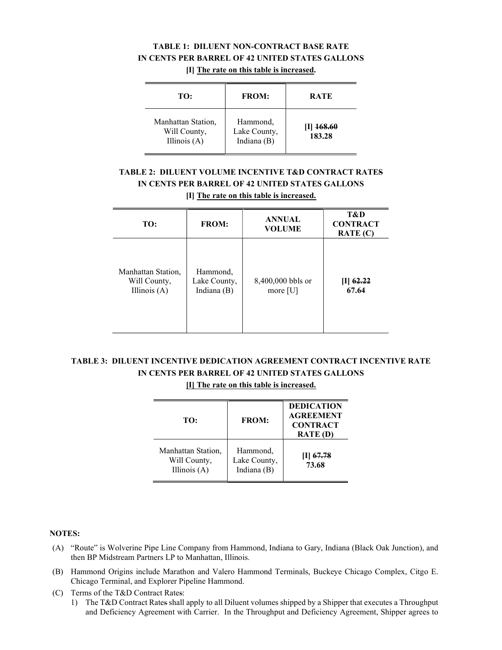### TABLE 1: DILUENT NON-CONTRACT BASE RATE IN CENTS PER BARREL OF 42 UNITED STATES GALLONS [I] The rate on this table is increased.

| TO:                                                  | <b>FROM:</b>                            | <b>RATE</b>             |  |
|------------------------------------------------------|-----------------------------------------|-------------------------|--|
| Manhattan Station,<br>Will County,<br>Illinois $(A)$ | Hammond,<br>Lake County,<br>Indiana (B) | <b>168.60</b><br>183.28 |  |

# TABLE 2: DILUENT VOLUME INCENTIVE T&D CONTRACT RATES IN CENTS PER BARREL OF 42 UNITED STATES GALLONS

[I] The rate on this table is increased.

| TO:                                                  | <b>FROM:</b>                            | <b>ANNUAL</b><br><b>VOLUME</b>  | T&D<br><b>CONTRACT</b><br>RATE(C) |  |  |
|------------------------------------------------------|-----------------------------------------|---------------------------------|-----------------------------------|--|--|
| Manhattan Station,<br>Will County,<br>Illinois $(A)$ | Hammond,<br>Lake County,<br>Indiana (B) | 8,400,000 bbls or<br>more $[U]$ | [I] $62.22$<br>67.64              |  |  |

# TABLE 3: DILUENT INCENTIVE DEDICATION AGREEMENT CONTRACT INCENTIVE RATE IN CENTS PER BARREL OF 42 UNITED STATES GALLONS

[I] The rate on this table is increased.

| TO:                                                  | <b>FROM:</b>                            | <b>DEDICATION</b><br><b>AGREEMENT</b><br><b>CONTRACT</b><br><b>RATE</b> (D) |
|------------------------------------------------------|-----------------------------------------|-----------------------------------------------------------------------------|
| Manhattan Station,<br>Will County,<br>Illinois $(A)$ | Hammond,<br>Lake County,<br>Indiana (B) | $ 1 $ 67.78<br>73.68                                                        |

#### NOTES:

- (A) "Route" is Wolverine Pipe Line Company from Hammond, Indiana to Gary, Indiana (Black Oak Junction), and then BP Midstream Partners LP to Manhattan, Illinois.
- (B) Hammond Origins include Marathon and Valero Hammond Terminals, Buckeye Chicago Complex, Citgo E. Chicago Terminal, and Explorer Pipeline Hammond.
- (C) Terms of the T&D Contract Rates:
	- 1) The T&D Contract Rates shall apply to all Diluent volumes shipped by a Shipper that executes a Throughput and Deficiency Agreement with Carrier. In the Throughput and Deficiency Agreement, Shipper agrees to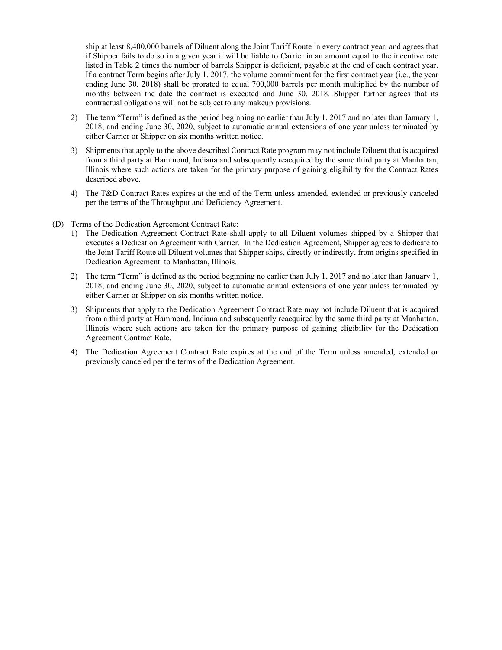ship at least 8,400,000 barrels of Diluent along the Joint Tariff Route in every contract year, and agrees that if Shipper fails to do so in a given year it will be liable to Carrier in an amount equal to the incentive rate listed in Table 2 times the number of barrels Shipper is deficient, payable at the end of each contract year. If a contract Term begins after July 1, 2017, the volume commitment for the first contract year (i.e., the year ending June 30, 2018) shall be prorated to equal 700,000 barrels per month multiplied by the number of months between the date the contract is executed and June 30, 2018. Shipper further agrees that its contractual obligations will not be subject to any makeup provisions.

- 2) The term "Term" is defined as the period beginning no earlier than July 1, 2017 and no later than January 1, 2018, and ending June 30, 2020, subject to automatic annual extensions of one year unless terminated by either Carrier or Shipper on six months written notice.
- 3) Shipments that apply to the above described Contract Rate program may not include Diluent that is acquired from a third party at Hammond, Indiana and subsequently reacquired by the same third party at Manhattan, Illinois where such actions are taken for the primary purpose of gaining eligibility for the Contract Rates described above.
- 4) The T&D Contract Rates expires at the end of the Term unless amended, extended or previously canceled per the terms of the Throughput and Deficiency Agreement.
- (D) Terms of the Dedication Agreement Contract Rate:
	- 1) The Dedication Agreement Contract Rate shall apply to all Diluent volumes shipped by a Shipper that executes a Dedication Agreement with Carrier. In the Dedication Agreement, Shipper agrees to dedicate to the Joint Tariff Route all Diluent volumes that Shipper ships, directly or indirectly, from origins specified in Dedication Agreement to Manhattan, Illinois.
	- 2) The term "Term" is defined as the period beginning no earlier than July 1, 2017 and no later than January 1, 2018, and ending June 30, 2020, subject to automatic annual extensions of one year unless terminated by either Carrier or Shipper on six months written notice.
	- 3) Shipments that apply to the Dedication Agreement Contract Rate may not include Diluent that is acquired from a third party at Hammond, Indiana and subsequently reacquired by the same third party at Manhattan, Illinois where such actions are taken for the primary purpose of gaining eligibility for the Dedication Agreement Contract Rate.
	- 4) The Dedication Agreement Contract Rate expires at the end of the Term unless amended, extended or previously canceled per the terms of the Dedication Agreement.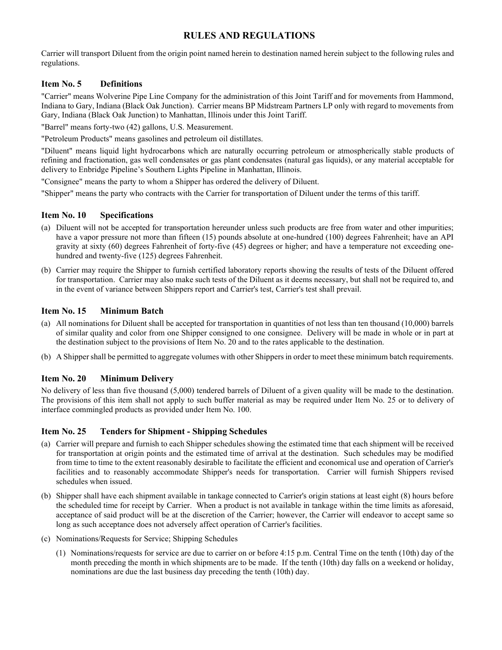Carrier will transport Diluent from the origin point named herein to destination named herein subject to the following rules and regulations.

### Item No. 5 Definitions

"Carrier" means Wolverine Pipe Line Company for the administration of this Joint Tariff and for movements from Hammond, Indiana to Gary, Indiana (Black Oak Junction). Carrier means BP Midstream Partners LP only with regard to movements from Gary, Indiana (Black Oak Junction) to Manhattan, Illinois under this Joint Tariff.

"Barrel" means forty-two (42) gallons, U.S. Measurement.

"Petroleum Products" means gasolines and petroleum oil distillates.

"Diluent" means liquid light hydrocarbons which are naturally occurring petroleum or atmospherically stable products of refining and fractionation, gas well condensates or gas plant condensates (natural gas liquids), or any material acceptable for delivery to Enbridge Pipeline's Southern Lights Pipeline in Manhattan, Illinois.

"Consignee" means the party to whom a Shipper has ordered the delivery of Diluent.

"Shipper" means the party who contracts with the Carrier for transportation of Diluent under the terms of this tariff.

#### Item No. 10 Specifications

- (a) Diluent will not be accepted for transportation hereunder unless such products are free from water and other impurities; have a vapor pressure not more than fifteen (15) pounds absolute at one-hundred (100) degrees Fahrenheit; have an API gravity at sixty (60) degrees Fahrenheit of forty-five (45) degrees or higher; and have a temperature not exceeding onehundred and twenty-five (125) degrees Fahrenheit.
- (b) Carrier may require the Shipper to furnish certified laboratory reports showing the results of tests of the Diluent offered for transportation. Carrier may also make such tests of the Diluent as it deems necessary, but shall not be required to, and in the event of variance between Shippers report and Carrier's test, Carrier's test shall prevail.

### Item No. 15 Minimum Batch

- (a) All nominations for Diluent shall be accepted for transportation in quantities of not less than ten thousand (10,000) barrels of similar quality and color from one Shipper consigned to one consignee. Delivery will be made in whole or in part at the destination subject to the provisions of Item No. 20 and to the rates applicable to the destination.
- (b) A Shipper shall be permitted to aggregate volumes with other Shippers in order to meet these minimum batch requirements.

#### Item No. 20 Minimum Delivery

No delivery of less than five thousand (5,000) tendered barrels of Diluent of a given quality will be made to the destination. The provisions of this item shall not apply to such buffer material as may be required under Item No. 25 or to delivery of interface commingled products as provided under Item No. 100.

#### Item No. 25 Tenders for Shipment - Shipping Schedules

- (a) Carrier will prepare and furnish to each Shipper schedules showing the estimated time that each shipment will be received for transportation at origin points and the estimated time of arrival at the destination. Such schedules may be modified from time to time to the extent reasonably desirable to facilitate the efficient and economical use and operation of Carrier's facilities and to reasonably accommodate Shipper's needs for transportation. Carrier will furnish Shippers revised schedules when issued.
- (b) Shipper shall have each shipment available in tankage connected to Carrier's origin stations at least eight (8) hours before the scheduled time for receipt by Carrier. When a product is not available in tankage within the time limits as aforesaid, acceptance of said product will be at the discretion of the Carrier; however, the Carrier will endeavor to accept same so long as such acceptance does not adversely affect operation of Carrier's facilities.
- (c) Nominations/Requests for Service; Shipping Schedules
	- (1) Nominations/requests for service are due to carrier on or before 4:15 p.m. Central Time on the tenth (10th) day of the month preceding the month in which shipments are to be made. If the tenth (10th) day falls on a weekend or holiday, nominations are due the last business day preceding the tenth (10th) day.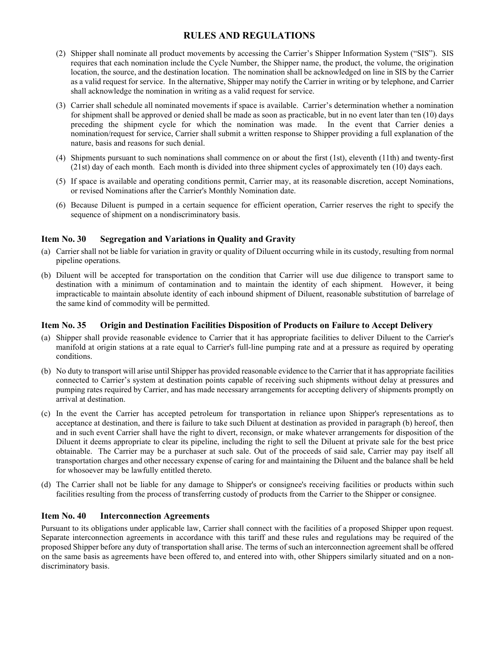- (2) Shipper shall nominate all product movements by accessing the Carrier's Shipper Information System ("SIS"). SIS requires that each nomination include the Cycle Number, the Shipper name, the product, the volume, the origination location, the source, and the destination location. The nomination shall be acknowledged on line in SIS by the Carrier as a valid request for service. In the alternative, Shipper may notify the Carrier in writing or by telephone, and Carrier shall acknowledge the nomination in writing as a valid request for service.
- (3) Carrier shall schedule all nominated movements if space is available. Carrier's determination whether a nomination for shipment shall be approved or denied shall be made as soon as practicable, but in no event later than ten (10) days preceding the shipment cycle for which the nomination was made. In the event that Carrier denies a nomination/request for service, Carrier shall submit a written response to Shipper providing a full explanation of the nature, basis and reasons for such denial.
- (4) Shipments pursuant to such nominations shall commence on or about the first (1st), eleventh (11th) and twenty-first (21st) day of each month. Each month is divided into three shipment cycles of approximately ten (10) days each.
- (5) If space is available and operating conditions permit, Carrier may, at its reasonable discretion, accept Nominations, or revised Nominations after the Carrier's Monthly Nomination date.
- (6) Because Diluent is pumped in a certain sequence for efficient operation, Carrier reserves the right to specify the sequence of shipment on a nondiscriminatory basis.

#### Item No. 30 Segregation and Variations in Quality and Gravity

- (a) Carrier shall not be liable for variation in gravity or quality of Diluent occurring while in its custody, resulting from normal pipeline operations.
- (b) Diluent will be accepted for transportation on the condition that Carrier will use due diligence to transport same to destination with a minimum of contamination and to maintain the identity of each shipment. However, it being impracticable to maintain absolute identity of each inbound shipment of Diluent, reasonable substitution of barrelage of the same kind of commodity will be permitted.

#### Item No. 35 Origin and Destination Facilities Disposition of Products on Failure to Accept Delivery

- (a) Shipper shall provide reasonable evidence to Carrier that it has appropriate facilities to deliver Diluent to the Carrier's manifold at origin stations at a rate equal to Carrier's full-line pumping rate and at a pressure as required by operating conditions.
- (b) No duty to transport will arise until Shipper has provided reasonable evidence to the Carrier that it has appropriate facilities connected to Carrier's system at destination points capable of receiving such shipments without delay at pressures and pumping rates required by Carrier, and has made necessary arrangements for accepting delivery of shipments promptly on arrival at destination.
- (c) In the event the Carrier has accepted petroleum for transportation in reliance upon Shipper's representations as to acceptance at destination, and there is failure to take such Diluent at destination as provided in paragraph (b) hereof, then and in such event Carrier shall have the right to divert, reconsign, or make whatever arrangements for disposition of the Diluent it deems appropriate to clear its pipeline, including the right to sell the Diluent at private sale for the best price obtainable. The Carrier may be a purchaser at such sale. Out of the proceeds of said sale, Carrier may pay itself all transportation charges and other necessary expense of caring for and maintaining the Diluent and the balance shall be held for whosoever may be lawfully entitled thereto.
- (d) The Carrier shall not be liable for any damage to Shipper's or consignee's receiving facilities or products within such facilities resulting from the process of transferring custody of products from the Carrier to the Shipper or consignee.

#### Item No. 40 Interconnection Agreements

Pursuant to its obligations under applicable law, Carrier shall connect with the facilities of a proposed Shipper upon request. Separate interconnection agreements in accordance with this tariff and these rules and regulations may be required of the proposed Shipper before any duty of transportation shall arise. The terms of such an interconnection agreement shall be offered on the same basis as agreements have been offered to, and entered into with, other Shippers similarly situated and on a nondiscriminatory basis.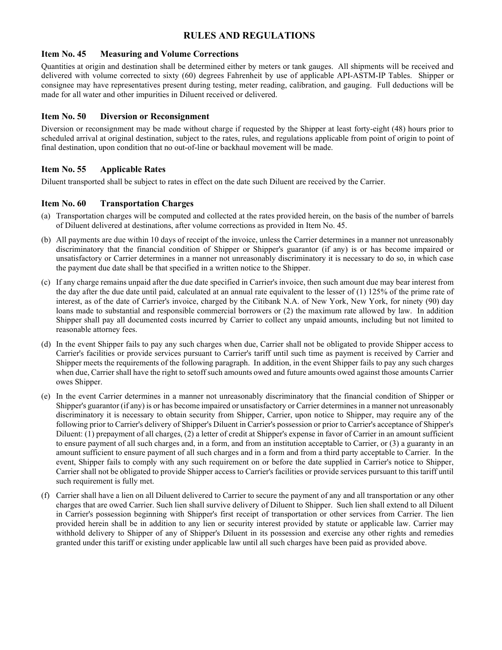#### Item No. 45 Measuring and Volume Corrections

Quantities at origin and destination shall be determined either by meters or tank gauges. All shipments will be received and delivered with volume corrected to sixty (60) degrees Fahrenheit by use of applicable API-ASTM-IP Tables. Shipper or consignee may have representatives present during testing, meter reading, calibration, and gauging. Full deductions will be made for all water and other impurities in Diluent received or delivered.

#### Item No. 50 Diversion or Reconsignment

Diversion or reconsignment may be made without charge if requested by the Shipper at least forty-eight (48) hours prior to scheduled arrival at original destination, subject to the rates, rules, and regulations applicable from point of origin to point of final destination, upon condition that no out-of-line or backhaul movement will be made.

### Item No. 55 Applicable Rates

Diluent transported shall be subject to rates in effect on the date such Diluent are received by the Carrier.

#### Item No. 60 Transportation Charges

- (a) Transportation charges will be computed and collected at the rates provided herein, on the basis of the number of barrels of Diluent delivered at destinations, after volume corrections as provided in Item No. 45.
- (b) All payments are due within 10 days of receipt of the invoice, unless the Carrier determines in a manner not unreasonably discriminatory that the financial condition of Shipper or Shipper's guarantor (if any) is or has become impaired or unsatisfactory or Carrier determines in a manner not unreasonably discriminatory it is necessary to do so, in which case the payment due date shall be that specified in a written notice to the Shipper.
- (c) If any charge remains unpaid after the due date specified in Carrier's invoice, then such amount due may bear interest from the day after the due date until paid, calculated at an annual rate equivalent to the lesser of (1) 125% of the prime rate of interest, as of the date of Carrier's invoice, charged by the Citibank N.A. of New York, New York, for ninety (90) day loans made to substantial and responsible commercial borrowers or (2) the maximum rate allowed by law. In addition Shipper shall pay all documented costs incurred by Carrier to collect any unpaid amounts, including but not limited to reasonable attorney fees.
- (d) In the event Shipper fails to pay any such charges when due, Carrier shall not be obligated to provide Shipper access to Carrier's facilities or provide services pursuant to Carrier's tariff until such time as payment is received by Carrier and Shipper meets the requirements of the following paragraph. In addition, in the event Shipper fails to pay any such charges when due, Carrier shall have the right to setoff such amounts owed and future amounts owed against those amounts Carrier owes Shipper.
- (e) In the event Carrier determines in a manner not unreasonably discriminatory that the financial condition of Shipper or Shipper's guarantor (if any) is or has become impaired or unsatisfactory or Carrier determines in a manner not unreasonably discriminatory it is necessary to obtain security from Shipper, Carrier, upon notice to Shipper, may require any of the following prior to Carrier's delivery of Shipper's Diluent in Carrier's possession or prior to Carrier's acceptance of Shipper's Diluent: (1) prepayment of all charges, (2) a letter of credit at Shipper's expense in favor of Carrier in an amount sufficient to ensure payment of all such charges and, in a form, and from an institution acceptable to Carrier, or (3) a guaranty in an amount sufficient to ensure payment of all such charges and in a form and from a third party acceptable to Carrier. In the event, Shipper fails to comply with any such requirement on or before the date supplied in Carrier's notice to Shipper, Carrier shall not be obligated to provide Shipper access to Carrier's facilities or provide services pursuant to this tariff until such requirement is fully met.
- (f) Carrier shall have a lien on all Diluent delivered to Carrier to secure the payment of any and all transportation or any other charges that are owed Carrier. Such lien shall survive delivery of Diluent to Shipper. Such lien shall extend to all Diluent in Carrier's possession beginning with Shipper's first receipt of transportation or other services from Carrier. The lien provided herein shall be in addition to any lien or security interest provided by statute or applicable law. Carrier may withhold delivery to Shipper of any of Shipper's Diluent in its possession and exercise any other rights and remedies granted under this tariff or existing under applicable law until all such charges have been paid as provided above.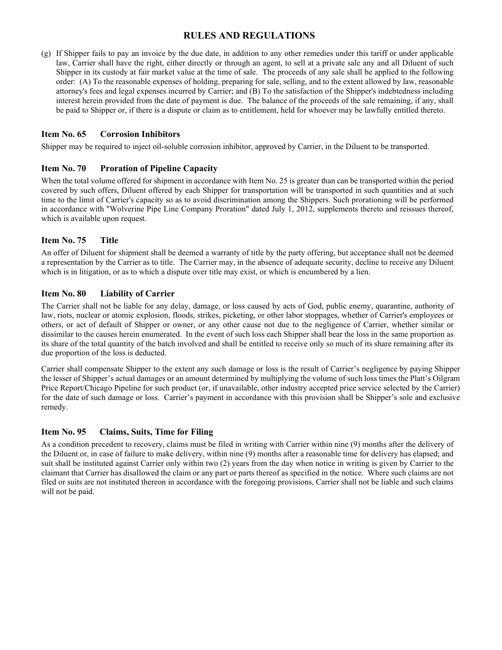(g) If Shipper fails to pay an invoice by the due date, in addition to any other remedies under this tariff or under applicable law, Carrier shall have the right, either directly or through an agent, to sell at a private sale any and all Diluent of such Shipper in its custody at fair market value at the time of sale. The proceeds of any sale shall be applied to the following order: (A) To the reasonable expenses of holding, preparing for sale, selling, and to the extent allowed by law, reasonable attorney's fees and legal expenses incurred by Carrier; and (B) To the satisfaction of the Shipper's indebtedness including interest herein provided from the date of payment is due. The balance of the proceeds of the sale remaining, if any, shall be paid to Shipper or, if there is a dispute or claim as to entitlement, held for whoever may be lawfully entitled thereto.

#### Item No. 65 Corrosion Inhibitors

Shipper may be required to inject oil-soluble corrosion inhibitor, approved by Carrier, in the Diluent to be transported.

#### Item No. 70 Proration of Pipeline Capacity

When the total volume offered for shipment in accordance with Item No. 25 is greater than can be transported within the period covered by such offers, Diluent offered by each Shipper for transportation will be transported in such quantities and at such time to the limit of Carrier's capacity so as to avoid discrimination among the Shippers. Such prorationing will be performed in accordance with "Wolverine Pipe Line Company Proration" dated July 1, 2012, supplements thereto and reissues thereof, which is available upon request.

#### Item No. 75 Title

An offer of Diluent for shipment shall be deemed a warranty of title by the party offering, but acceptance shall not be deemed a representation by the Carrier as to title. The Carrier may, in the absence of adequate security, decline to receive any Diluent which is in litigation, or as to which a dispute over title may exist, or which is encumbered by a lien.

#### Item No. 80 Liability of Carrier

The Carrier shall not be liable for any delay, damage, or loss caused by acts of God, public enemy, quarantine, authority of law, riots, nuclear or atomic explosion, floods, strikes, picketing, or other labor stoppages, whether of Carrier's employees or others, or act of default of Shipper or owner, or any other cause not due to the negligence of Carrier, whether similar or dissimilar to the causes herein enumerated. In the event of such loss each Shipper shall bear the loss in the same proportion as its share of the total quantity of the batch involved and shall be entitled to receive only so much of its share remaining after its due proportion of the loss is deducted.

Carrier shall compensate Shipper to the extent any such damage or loss is the result of Carrier's negligence by paying Shipper the lesser of Shipper's actual damages or an amount determined by multiplying the volume of such loss times the Platt's Oilgram Price Report/Chicago Pipeline for such product (or, if unavailable, other industry accepted price service selected by the Carrier) for the date of such damage or loss. Carrier's payment in accordance with this provision shall be Shipper's sole and exclusive remedy.

#### Item No. 95 Claims, Suits, Time for Filing

As a condition precedent to recovery, claims must be filed in writing with Carrier within nine (9) months after the delivery of the Diluent or, in case of failure to make delivery, within nine (9) months after a reasonable time for delivery has elapsed; and suit shall be instituted against Carrier only within two (2) years from the day when notice in writing is given by Carrier to the claimant that Carrier has disallowed the claim or any part or parts thereof as specified in the notice. Where such claims are not filed or suits are not instituted thereon in accordance with the foregoing provisions, Carrier shall not be liable and such claims will not be paid.